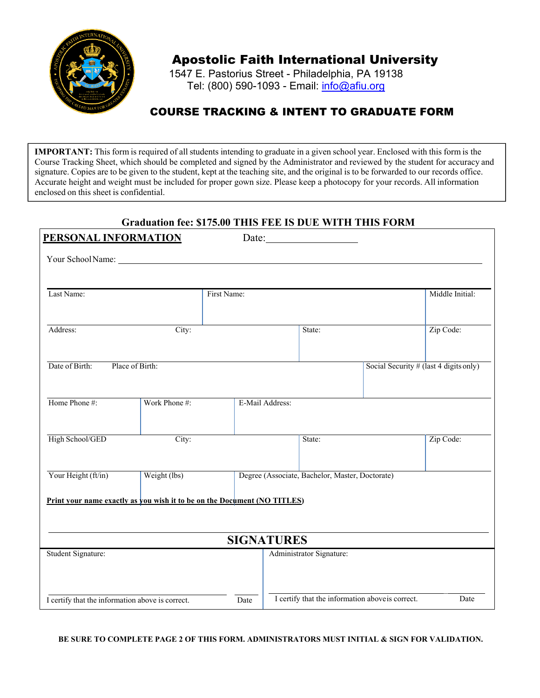

## Apostolic Faith International University

1547 E. Pastorius Street - Philadelphia, PA 19138 Tel: (800) 590-1093 - Email: *info@afiu.org* 

### COURSE TRACKING & INTENT TO GRADUATE FORM

**IMPORTANT:** This form is required of all students intending to graduate in a given school year. Enclosed with this form is the Course Tracking Sheet, which should be completed and signed by the Administrator and reviewed by the student for accuracy and signature. Copies are to be given to the student, kept at the teaching site, and the original is to be forwarded to our records office. Accurate height and weight must be included for proper gown size. Please keep a photocopy for your records. All information enclosed on this sheet is confidential.

### **Graduation fee: \$175.00 THIS FEE IS DUE WITH THIS FORM**

| PERSONAL INFORMATION                                                     |               |             |                                                  |  |                                        |
|--------------------------------------------------------------------------|---------------|-------------|--------------------------------------------------|--|----------------------------------------|
| Your School Name: New Your School Name:                                  |               |             |                                                  |  |                                        |
|                                                                          |               |             |                                                  |  |                                        |
| Last Name:                                                               |               | First Name: |                                                  |  | Middle Initial:                        |
| Address:                                                                 | City:         |             | State:                                           |  | Zip Code:                              |
| Date of Birth:<br>Place of Birth:                                        |               |             |                                                  |  | Social Security # (last 4 digits only) |
| Home Phone #:                                                            | Work Phone #: |             | E-Mail Address:                                  |  |                                        |
| High School/GED                                                          | City:         |             | State:                                           |  | Zip Code:                              |
| Your Height (ft/in)                                                      | Weight (lbs)  |             | Degree (Associate, Bachelor, Master, Doctorate)  |  |                                        |
| Print your name exactly as you wish it to be on the Document (NO TITLES) |               |             |                                                  |  |                                        |
|                                                                          |               |             | <b>SIGNATURES</b>                                |  |                                        |
| Student Signature:                                                       |               |             | Administrator Signature:                         |  |                                        |
| I certify that the information above is correct.                         |               | Date        | I certify that the information above is correct. |  | Date                                   |

**BE SURE TO COMPLETE PAGE 2 OF THIS FORM. ADMINISTRATORS MUST INITIAL & SIGN FOR VALIDATION.**